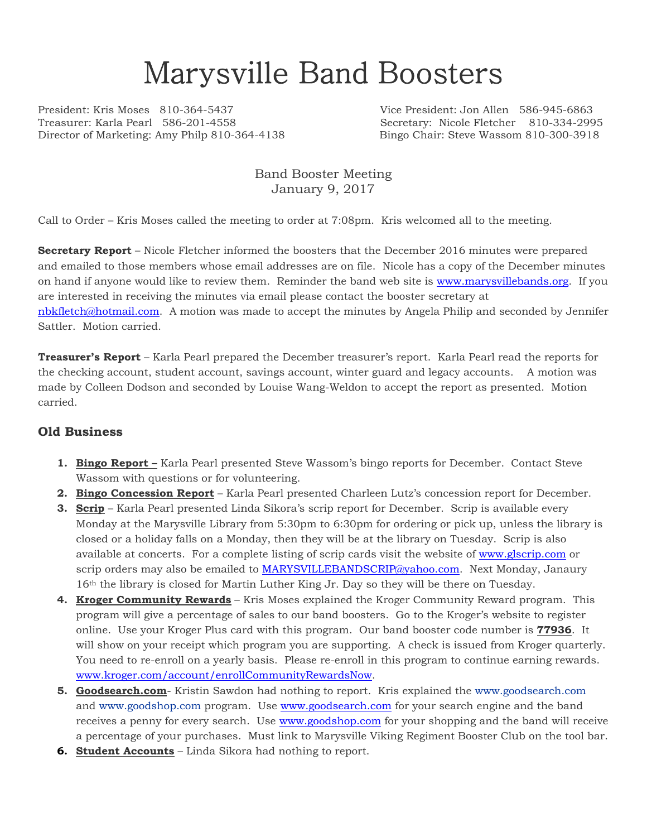# Marysville Band Boosters

President: Kris Moses 810-364-5437 Vice President: Jon Allen 586-945-6863 Treasurer: Karla Pearl 586-201-4558 Secretary: Nicole Fletcher 810-334-2995 Director of Marketing: Amy Philp 810-364-4138 Bingo Chair: Steve Wassom 810-300-3918

## Band Booster Meeting January 9, 2017

Call to Order – Kris Moses called the meeting to order at 7:08pm. Kris welcomed all to the meeting.

**Secretary Report** – Nicole Fletcher informed the boosters that the December 2016 minutes were prepared and emailed to those members whose email addresses are on file. Nicole has a copy of the December minutes on hand if anyone would like to review them. Reminder the band web site is www.marysvillebands.org. If you are interested in receiving the minutes via email please contact the booster secretary at

nbkfletch@hotmail.com. A motion was made to accept the minutes by Angela Philip and seconded by Jennifer Sattler. Motion carried.

**Treasurer's Report** – Karla Pearl prepared the December treasurer's report. Karla Pearl read the reports for the checking account, student account, savings account, winter guard and legacy accounts. A motion was made by Colleen Dodson and seconded by Louise Wang-Weldon to accept the report as presented. Motion carried.

#### **Old Business**

- **1. Bingo Report –** Karla Pearl presented Steve Wassom's bingo reports for December. Contact Steve Wassom with questions or for volunteering.
- **2. Bingo Concession Report** Karla Pearl presented Charleen Lutz's concession report for December.
- **3. Scrip** Karla Pearl presented Linda Sikora's scrip report for December. Scrip is available every Monday at the Marysville Library from 5:30pm to 6:30pm for ordering or pick up, unless the library is closed or a holiday falls on a Monday, then they will be at the library on Tuesday. Scrip is also available at concerts. For a complete listing of scrip cards visit the website of www.glscrip.com or scrip orders may also be emailed to MARYSVILLEBANDSCRIP@yahoo.com. Next Monday, Janaury 16th the library is closed for Martin Luther King Jr. Day so they will be there on Tuesday.
- **4. Kroger Community Rewards** Kris Moses explained the Kroger Community Reward program. This program will give a percentage of sales to our band boosters. Go to the Kroger's website to register online. Use your Kroger Plus card with this program. Our band booster code number is **77936**. It will show on your receipt which program you are supporting. A check is issued from Kroger quarterly. You need to re-enroll on a yearly basis. Please re-enroll in this program to continue earning rewards. www.kroger.com/account/enrollCommunityRewardsNow.
- **5. Goodsearch.com** Kristin Sawdon had nothing to report. Kris explained the www.goodsearch.com and www.goodshop.com program. Use www.goodsearch.com for your search engine and the band receives a penny for every search. Use www.goodshop.com for your shopping and the band will receive a percentage of your purchases. Must link to Marysville Viking Regiment Booster Club on the tool bar.
- **6. Student Accounts** Linda Sikora had nothing to report.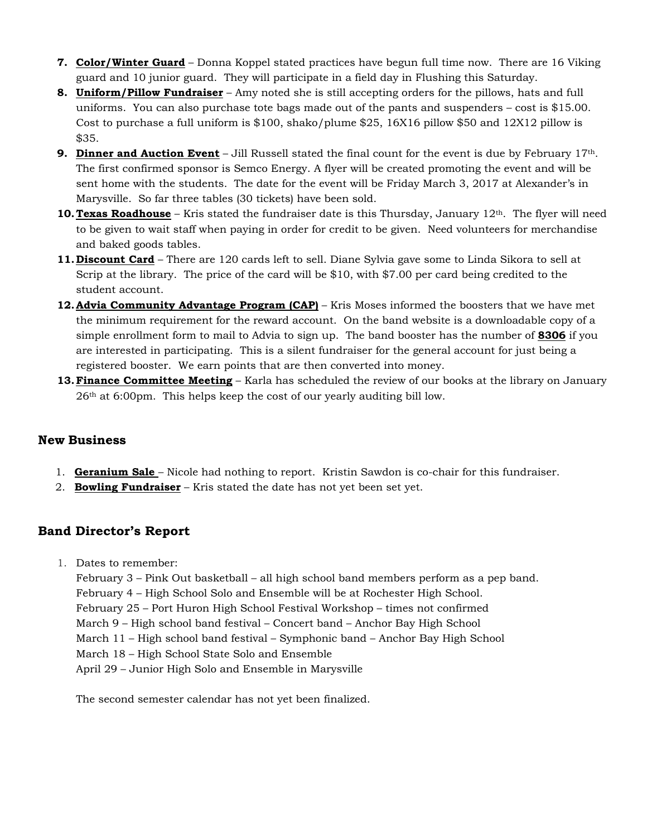- **7. Color/Winter Guard** Donna Koppel stated practices have begun full time now. There are 16 Viking guard and 10 junior guard. They will participate in a field day in Flushing this Saturday.
- **8. Uniform/Pillow Fundraiser** Amy noted she is still accepting orders for the pillows, hats and full uniforms. You can also purchase tote bags made out of the pants and suspenders – cost is \$15.00. Cost to purchase a full uniform is \$100, shako/plume \$25, 16X16 pillow \$50 and 12X12 pillow is \$35.
- **9. Dinner and Auction Event** Jill Russell stated the final count for the event is due by February 17th. The first confirmed sponsor is Semco Energy. A flyer will be created promoting the event and will be sent home with the students. The date for the event will be Friday March 3, 2017 at Alexander's in Marysville. So far three tables (30 tickets) have been sold.
- **10. Texas Roadhouse** Kris stated the fundraiser date is this Thursday, January 12<sup>th</sup>. The flyer will need to be given to wait staff when paying in order for credit to be given. Need volunteers for merchandise and baked goods tables.
- **11.Discount Card** There are 120 cards left to sell. Diane Sylvia gave some to Linda Sikora to sell at Scrip at the library. The price of the card will be \$10, with \$7.00 per card being credited to the student account.
- **12.Advia Community Advantage Program (CAP)** Kris Moses informed the boosters that we have met the minimum requirement for the reward account. On the band website is a downloadable copy of a simple enrollment form to mail to Advia to sign up. The band booster has the number of **8306** if you are interested in participating. This is a silent fundraiser for the general account for just being a registered booster. We earn points that are then converted into money.
- **13.Finance Committee Meeting** Karla has scheduled the review of our books at the library on January 26th at 6:00pm. This helps keep the cost of our yearly auditing bill low.

## **New Business**

- 1. **Geranium Sale**  Nicole had nothing to report. Kristin Sawdon is co-chair for this fundraiser.
- 2. **Bowling Fundraiser** Kris stated the date has not yet been set yet.

## **Band Director's Report**

1. Dates to remember:

February 3 – Pink Out basketball – all high school band members perform as a pep band. February 4 – High School Solo and Ensemble will be at Rochester High School. February 25 – Port Huron High School Festival Workshop – times not confirmed March 9 – High school band festival – Concert band – Anchor Bay High School March 11 – High school band festival – Symphonic band – Anchor Bay High School March 18 – High School State Solo and Ensemble April 29 – Junior High Solo and Ensemble in Marysville

The second semester calendar has not yet been finalized.